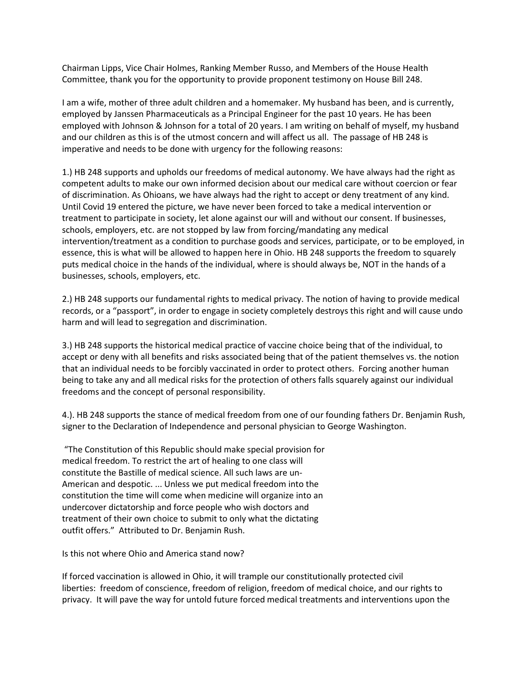Chairman Lipps, Vice Chair Holmes, Ranking Member Russo, and Members of the House Health Committee, thank you for the opportunity to provide proponent testimony on House Bill 248.

I am a wife, mother of three adult children and a homemaker. My husband has been, and is currently, employed by Janssen Pharmaceuticals as a Principal Engineer for the past 10 years. He has been employed with Johnson & Johnson for a total of 20 years. I am writing on behalf of myself, my husband and our children as this is of the utmost concern and will affect us all. The passage of HB 248 is imperative and needs to be done with urgency for the following reasons:

1.) HB 248 supports and upholds our freedoms of medical autonomy. We have always had the right as competent adults to make our own informed decision about our medical care without coercion or fear of discrimination. As Ohioans, we have always had the right to accept or deny treatment of any kind. Until Covid 19 entered the picture, we have never been forced to take a medical intervention or treatment to participate in society, let alone against our will and without our consent. If businesses, schools, employers, etc. are not stopped by law from forcing/mandating any medical intervention/treatment as a condition to purchase goods and services, participate, or to be employed, in essence, this is what will be allowed to happen here in Ohio. HB 248 supports the freedom to squarely puts medical choice in the hands of the individual, where is should always be, NOT in the hands of a businesses, schools, employers, etc.

2.) HB 248 supports our fundamental rights to medical privacy. The notion of having to provide medical records, or a "passport", in order to engage in society completely destroys this right and will cause undo harm and will lead to segregation and discrimination.

3.) HB 248 supports the historical medical practice of vaccine choice being that of the individual, to accept or deny with all benefits and risks associated being that of the patient themselves vs. the notion that an individual needs to be forcibly vaccinated in order to protect others. Forcing another human being to take any and all medical risks for the protection of others falls squarely against our individual freedoms and the concept of personal responsibility.

4.). HB 248 supports the stance of medical freedom from one of our founding fathers Dr. Benjamin Rush, signer to the Declaration of Independence and personal physician to George Washington.

"The Constitution of this Republic should make special provision for medical freedom. To restrict the art of healing to one class will constitute the Bastille of medical science. All such laws are un-American and despotic. ... Unless we put medical freedom into the constitution the time will come when medicine will organize into an undercover dictatorship and force people who wish doctors and treatment of their own choice to submit to only what the dictating outfit offers." Attributed to Dr. Benjamin Rush.

Is this not where Ohio and America stand now?

If forced vaccination is allowed in Ohio, it will trample our constitutionally protected civil liberties: freedom of conscience, freedom of religion, freedom of medical choice, and our rights to privacy. It will pave the way for untold future forced medical treatments and interventions upon the